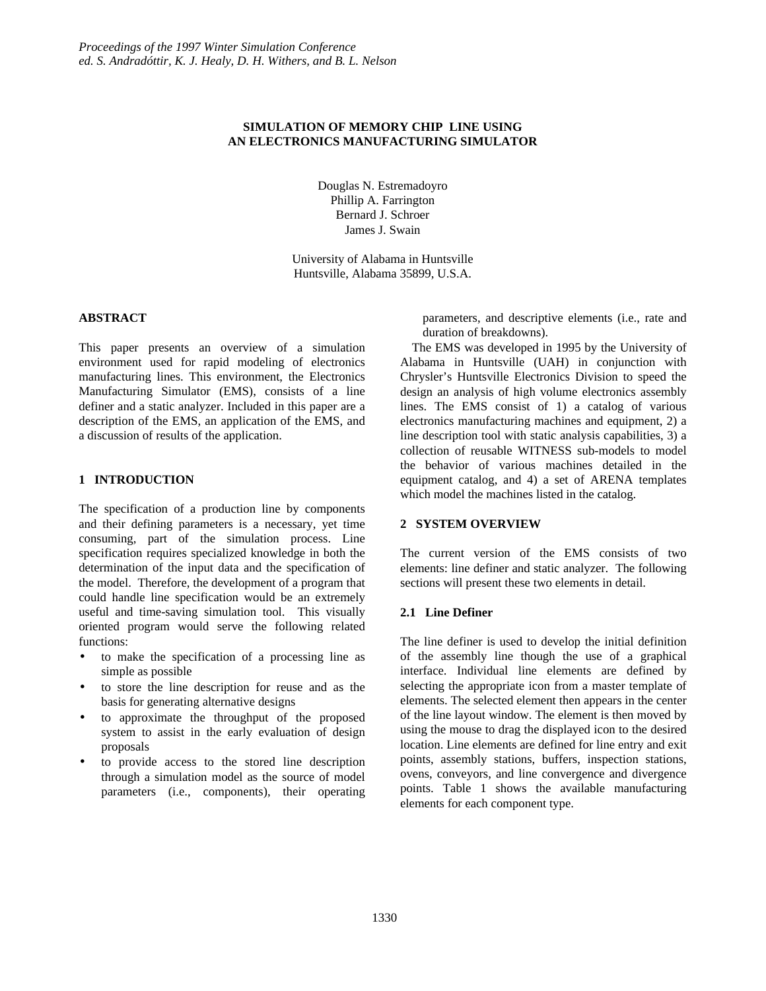# **SIMULATION OF MEMORY CHIP LINE USING AN ELECTRONICS MANUFACTURING SIMULATOR**

Douglas N. Estremadoyro Phillip A. Farrington Bernard J. Schroer James J. Swain

University of Alabama in Huntsville Huntsville, Alabama 35899, U.S.A.

## **ABSTRACT**

This paper presents an overview of a simulation environment used for rapid modeling of electronics manufacturing lines. This environment, the Electronics Manufacturing Simulator (EMS), consists of a line definer and a static analyzer. Included in this paper are a description of the EMS, an application of the EMS, and a discussion of results of the application.

#### **1 INTRODUCTION**

The specification of a production line by components and their defining parameters is a necessary, yet time consuming, part of the simulation process. Line specification requires specialized knowledge in both the determination of the input data and the specification of the model. Therefore, the development of a program that could handle line specification would be an extremely useful and time-saving simulation tool. This visually oriented program would serve the following related functions:

- to make the specification of a processing line as simple as possible
- to store the line description for reuse and as the basis for generating alternative designs
- to approximate the throughput of the proposed system to assist in the early evaluation of design proposals
- to provide access to the stored line description through a simulation model as the source of model parameters (i.e., components), their operating

parameters, and descriptive elements (i.e., rate and duration of breakdowns).

The EMS was developed in 1995 by the University of Alabama in Huntsville (UAH) in conjunction with Chrysler's Huntsville Electronics Division to speed the design an analysis of high volume electronics assembly lines. The EMS consist of 1) a catalog of various electronics manufacturing machines and equipment, 2) a line description tool with static analysis capabilities, 3) a collection of reusable WITNESS sub-models to model the behavior of various machines detailed in the equipment catalog, and 4) a set of ARENA templates which model the machines listed in the catalog.

#### **2 SYSTEM OVERVIEW**

The current version of the EMS consists of two elements: line definer and static analyzer. The following sections will present these two elements in detail.

## **2.1 Line Definer**

The line definer is used to develop the initial definition of the assembly line though the use of a graphical interface. Individual line elements are defined by selecting the appropriate icon from a master template of elements. The selected element then appears in the center of the line layout window. The element is then moved by using the mouse to drag the displayed icon to the desired location. Line elements are defined for line entry and exit points, assembly stations, buffers, inspection stations, ovens, conveyors, and line convergence and divergence points. Table 1 shows the available manufacturing elements for each component type.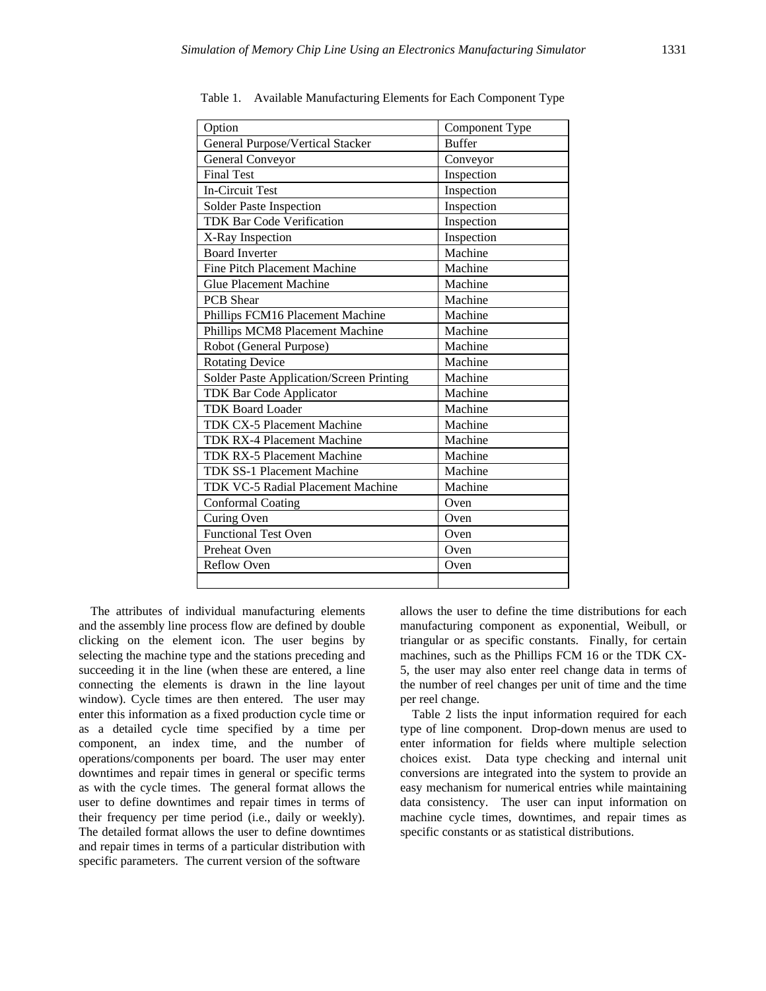| Option                                   | Component Type |
|------------------------------------------|----------------|
| General Purpose/Vertical Stacker         | <b>Buffer</b>  |
| General Conveyor                         | Conveyor       |
| <b>Final Test</b>                        | Inspection     |
| <b>In-Circuit Test</b>                   | Inspection     |
| Solder Paste Inspection                  | Inspection     |
| <b>TDK Bar Code Verification</b>         | Inspection     |
| X-Ray Inspection                         | Inspection     |
| <b>Board Inverter</b>                    | Machine        |
| <b>Fine Pitch Placement Machine</b>      | Machine        |
| <b>Glue Placement Machine</b>            | Machine        |
| <b>PCB</b> Shear                         | Machine        |
| Phillips FCM16 Placement Machine         | Machine        |
| Phillips MCM8 Placement Machine          | Machine        |
| Robot (General Purpose)                  | Machine        |
| <b>Rotating Device</b>                   | Machine        |
| Solder Paste Application/Screen Printing | Machine        |
| TDK Bar Code Applicator                  | Machine        |
| <b>TDK Board Loader</b>                  | Machine        |
| TDK CX-5 Placement Machine               | Machine        |
| TDK RX-4 Placement Machine               | Machine        |
| TDK RX-5 Placement Machine               | Machine        |
| TDK SS-1 Placement Machine               | Machine        |
| TDK VC-5 Radial Placement Machine        | Machine        |
| <b>Conformal Coating</b>                 | Oven           |
| Curing Oven                              | Oven           |
| <b>Functional Test Oven</b>              | Oven           |
| Preheat Oven                             | Oven           |
| <b>Reflow Oven</b>                       | Oven           |
|                                          |                |

Table 1. Available Manufacturing Elements for Each Component Type

The attributes of individual manufacturing elements and the assembly line process flow are defined by double clicking on the element icon. The user begins by selecting the machine type and the stations preceding and succeeding it in the line (when these are entered, a line connecting the elements is drawn in the line layout window). Cycle times are then entered. The user may enter this information as a fixed production cycle time or as a detailed cycle time specified by a time per component, an index time, and the number of operations/components per board. The user may enter downtimes and repair times in general or specific terms as with the cycle times. The general format allows the user to define downtimes and repair times in terms of their frequency per time period (i.e., daily or weekly). The detailed format allows the user to define downtimes and repair times in terms of a particular distribution with specific parameters. The current version of the software

allows the user to define the time distributions for each manufacturing component as exponential, Weibull, or triangular or as specific constants. Finally, for certain machines, such as the Phillips FCM 16 or the TDK CX-5, the user may also enter reel change data in terms of the number of reel changes per unit of time and the time per reel change.

Table 2 lists the input information required for each type of line component. Drop-down menus are used to enter information for fields where multiple selection choices exist. Data type checking and internal unit conversions are integrated into the system to provide an easy mechanism for numerical entries while maintaining data consistency. The user can input information on machine cycle times, downtimes, and repair times as specific constants or as statistical distributions.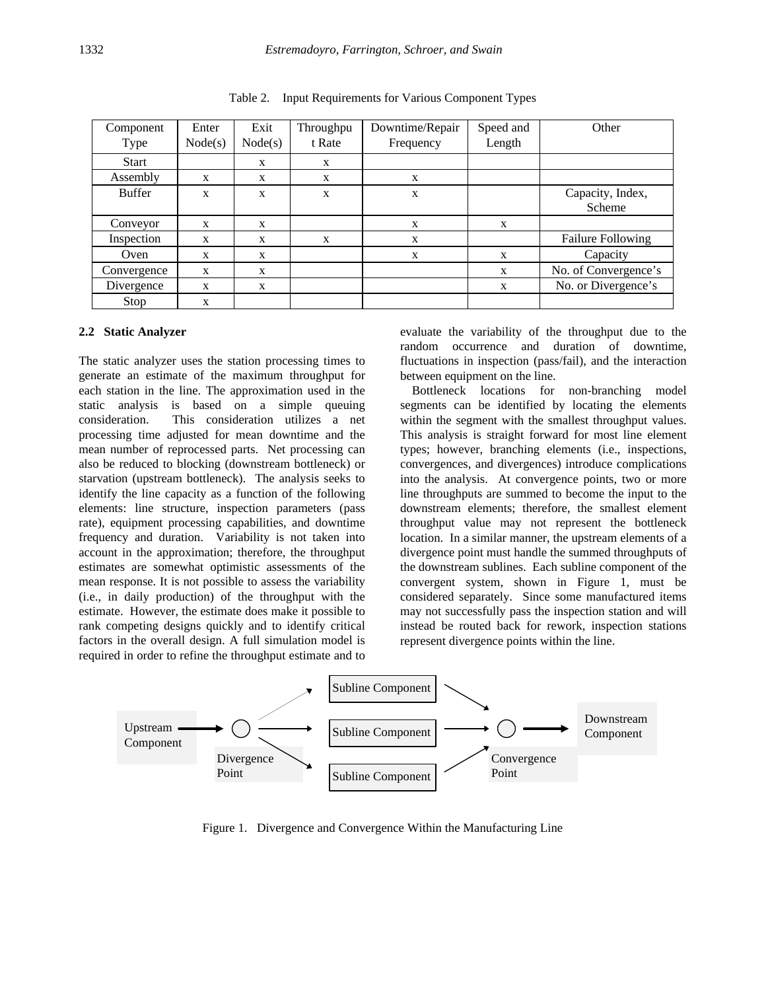| Component<br>Type | Enter<br>Node(s) | Exit<br>Node(s) | Throughpu<br>t Rate | Downtime/Repair<br>Frequency | Speed and<br>Length | Other                    |
|-------------------|------------------|-----------------|---------------------|------------------------------|---------------------|--------------------------|
| <b>Start</b>      |                  | X               | X                   |                              |                     |                          |
| Assembly          | $\mathbf{x}$     | X               | X                   | X                            |                     |                          |
| <b>Buffer</b>     | X                | X               | X                   | X                            |                     | Capacity, Index,         |
|                   |                  |                 |                     |                              |                     | Scheme                   |
| Conveyor          | $\mathbf{x}$     | X               |                     | $\mathbf{x}$                 | $\mathbf{x}$        |                          |
| Inspection        | X                | X               | X                   | X                            |                     | <b>Failure Following</b> |
| Oven              | X                | X               |                     | X                            | X                   | Capacity                 |
| Convergence       | X                | X               |                     |                              | X                   | No. of Convergence's     |
| Divergence        | X                | X               |                     |                              | X                   | No. or Divergence's      |
| Stop              | X                |                 |                     |                              |                     |                          |

Table 2. Input Requirements for Various Component Types

#### **2.2 Static Analyzer**

The static analyzer uses the station processing times to generate an estimate of the maximum throughput for each station in the line. The approximation used in the static analysis is based on a simple queuing consideration. This consideration utilizes a net processing time adjusted for mean downtime and the mean number of reprocessed parts. Net processing can also be reduced to blocking (downstream bottleneck) or starvation (upstream bottleneck). The analysis seeks to identify the line capacity as a function of the following elements: line structure, inspection parameters (pass rate), equipment processing capabilities, and downtime frequency and duration. Variability is not taken into account in the approximation; therefore, the throughput estimates are somewhat optimistic assessments of the mean response. It is not possible to assess the variability (i.e., in daily production) of the throughput with the estimate. However, the estimate does make it possible to rank competing designs quickly and to identify critical factors in the overall design. A full simulation model is required in order to refine the throughput estimate and to

evaluate the variability of the throughput due to the random occurrence and duration of downtime, fluctuations in inspection (pass/fail), and the interaction between equipment on the line.

Bottleneck locations for non-branching model segments can be identified by locating the elements within the segment with the smallest throughput values. This analysis is straight forward for most line element types; however, branching elements (i.e., inspections, convergences, and divergences) introduce complications into the analysis. At convergence points, two or more line throughputs are summed to become the input to the downstream elements; therefore, the smallest element throughput value may not represent the bottleneck location. In a similar manner, the upstream elements of a divergence point must handle the summed throughputs of the downstream sublines. Each subline component of the convergent system, shown in Figure 1, must be considered separately. Since some manufactured items may not successfully pass the inspection station and will instead be routed back for rework, inspection stations represent divergence points within the line.



Figure 1. Divergence and Convergence Within the Manufacturing Line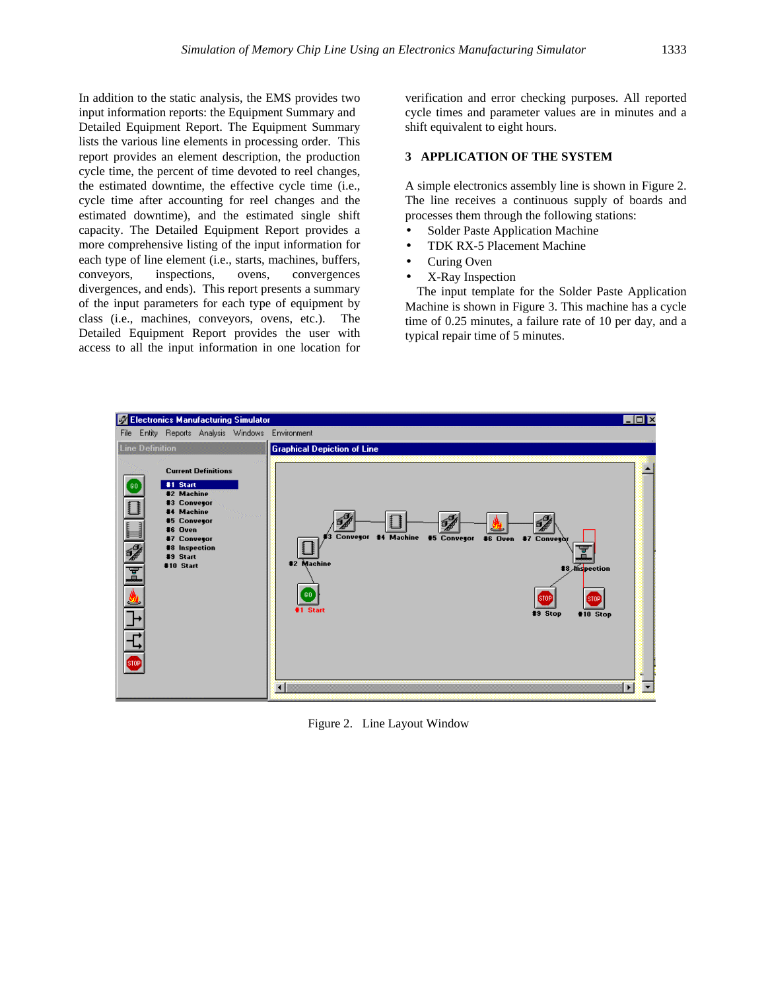In addition to the static analysis, the EMS provides two input information reports: the Equipment Summary and Detailed Equipment Report. The Equipment Summary lists the various line elements in processing order. This report provides an element description, the production cycle time, the percent of time devoted to reel changes, the estimated downtime, the effective cycle time (i.e., cycle time after accounting for reel changes and the estimated downtime), and the estimated single shift capacity. The Detailed Equipment Report provides a more comprehensive listing of the input information for each type of line element (i.e., starts, machines, buffers, conveyors, inspections, ovens, convergences divergences, and ends). This report presents a summary of the input parameters for each type of equipment by class (i.e., machines, conveyors, ovens, etc.). The Detailed Equipment Report provides the user with access to all the input information in one location for

verification and error checking purposes. All reported cycle times and parameter values are in minutes and a shift equivalent to eight hours.

#### **3 APPLICATION OF THE SYSTEM**

A simple electronics assembly line is shown in Figure 2. The line receives a continuous supply of boards and processes them through the following stations:

- Solder Paste Application Machine
- TDK RX-5 Placement Machine
- Curing Oven
- X-Ray Inspection

The input template for the Solder Paste Application Machine is shown in Figure 3. This machine has a cycle time of 0.25 minutes, a failure rate of 10 per day, and a typical repair time of 5 minutes.



Figure 2. Line Layout Window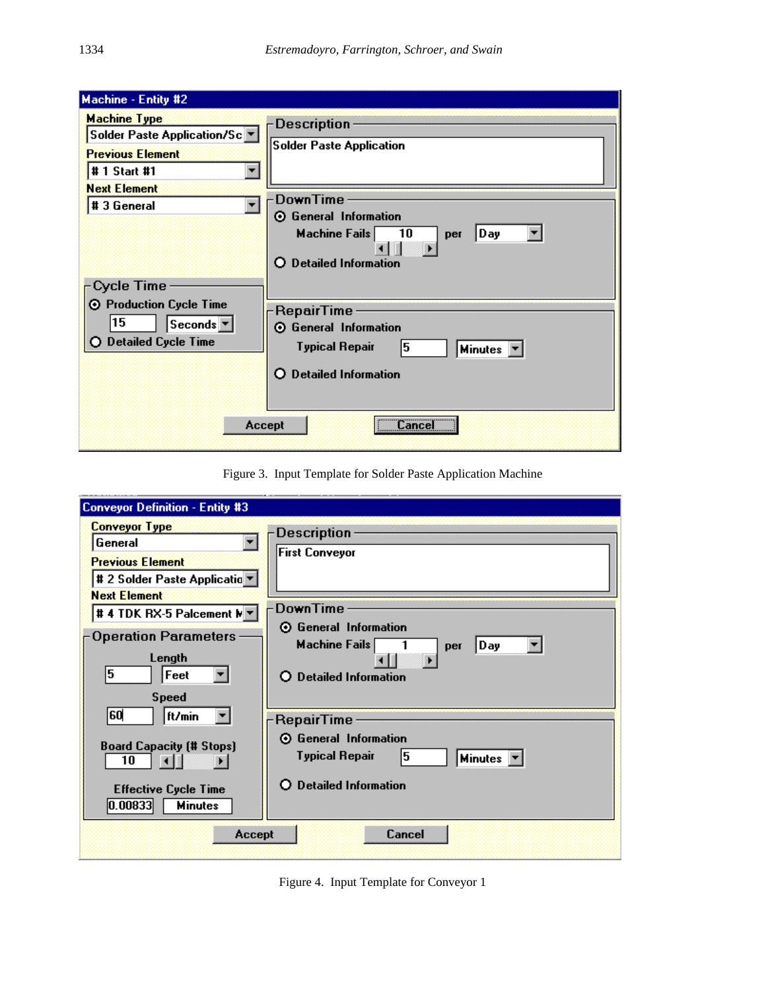| Machine - Entity #2                                                                                             |                                                                                                                              |
|-----------------------------------------------------------------------------------------------------------------|------------------------------------------------------------------------------------------------------------------------------|
| <b>Machine Type</b>                                                                                             | <b>Description</b>                                                                                                           |
| Solder Paste Application/Sc v                                                                                   | <b>Solder Paste Application</b>                                                                                              |
| <b>Previous Element</b>                                                                                         |                                                                                                                              |
| #1 Start #1                                                                                                     |                                                                                                                              |
| <b>Next Element</b>                                                                                             |                                                                                                                              |
| #3 General                                                                                                      | <b>DownTime</b><br>⊙ General Information<br>Machine Fails   10<br>Day<br>per<br>O Detailed Information                       |
| Cycle Time<br><b>S</b> Production Cycle Time<br>15<br>$ S$ econds $\blacktriangledown$<br>O Detailed Cycle Time | RepairTime<br>⊙ General Information<br><b>Typical Repair</b><br>15<br>Minutes $\blacktriangledown$<br>O Detailed Information |
| Accept                                                                                                          | Cancel                                                                                                                       |

Figure 3. Input Template for Solder Paste Application Machine

| <b>Conveyor Definition - Entity #3</b>                                                                                    |                                                                                                                                            |
|---------------------------------------------------------------------------------------------------------------------------|--------------------------------------------------------------------------------------------------------------------------------------------|
| Conveyor Type<br>General<br><b>Previous Element</b><br># 2 Solder Paste Applicatio "                                      | Description<br><b>First Conveyor</b>                                                                                                       |
| <b>Next Element</b><br># 4 TDK RX-5 Palcement N T<br><b>Operation Parameters -</b><br>Length<br>5<br>Feet<br><b>Speed</b> | DownTime<br>⊙ General Information<br><b>Machine Fails</b><br> Day<br>per<br>$\blacktriangleright$<br>O Detailed Information                |
| 60<br>ft/min<br><b>Board Capacity (# Stops)</b><br>10<br><b>Effective Cycle Time</b><br>[0.00833]<br><b>Minutes</b>       | RepairTime<br>⊙ General Information<br><b>Typical Repair</b><br>15<br>Minutes $\vert \mathbf{v} \vert$<br><b>Detailed Information</b><br>Ω |
| Accept                                                                                                                    | Cancel                                                                                                                                     |

Figure 4. Input Template for Conveyor 1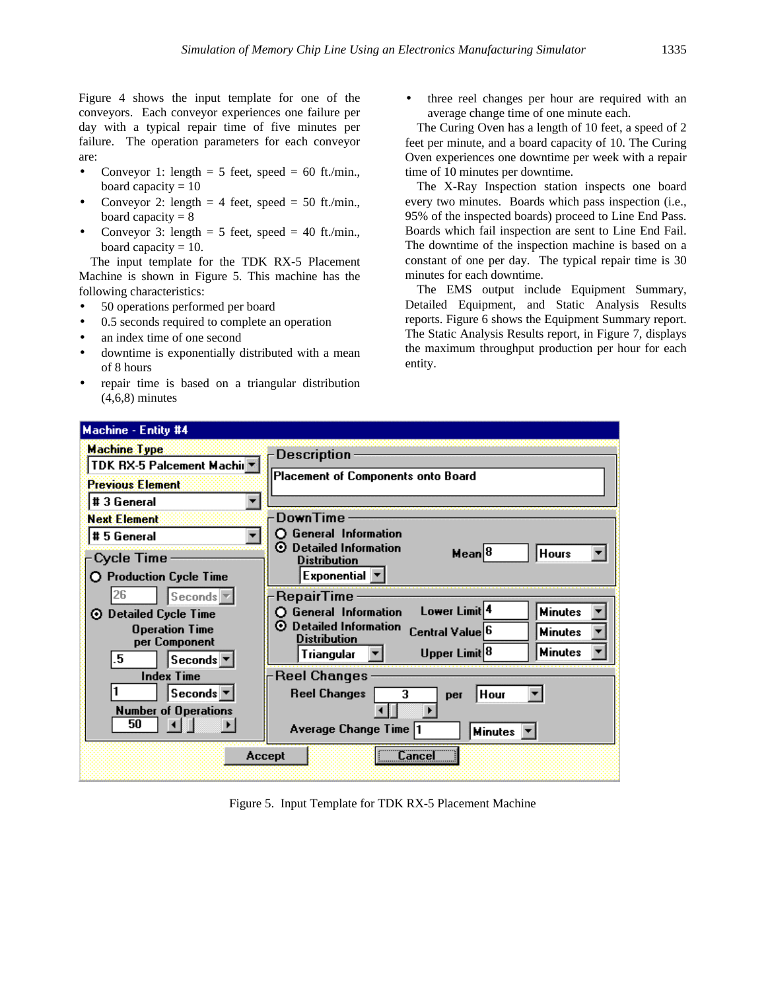Figure 4 shows the input template for one of the conveyors. Each conveyor experiences one failure per day with a typical repair time of five minutes per failure. The operation parameters for each conveyor are:

- Conveyor 1: length  $= 5$  feet, speed  $= 60$  ft./min., board capacity  $= 10$
- Conveyor 2: length  $= 4$  feet, speed  $= 50$  ft./min., board capacity  $= 8$
- Conveyor 3: length =  $5$  feet, speed =  $40$  ft./min., board capacity  $= 10$ .

The input template for the TDK RX-5 Placement Machine is shown in Figure 5. This machine has the following characteristics:

- 50 operations performed per board
- 0.5 seconds required to complete an operation
- an index time of one second
- downtime is exponentially distributed with a mean of 8 hours
- repair time is based on a triangular distribution (4,6,8) minutes

three reel changes per hour are required with an average change time of one minute each.

The Curing Oven has a length of 10 feet, a speed of 2 feet per minute, and a board capacity of 10. The Curing Oven experiences one downtime per week with a repair time of 10 minutes per downtime.

The X-Ray Inspection station inspects one board every two minutes. Boards which pass inspection (i.e., 95% of the inspected boards) proceed to Line End Pass. Boards which fail inspection are sent to Line End Fail. The downtime of the inspection machine is based on a constant of one per day. The typical repair time is 30 minutes for each downtime.

The EMS output include Equipment Summary, Detailed Equipment, and Static Analysis Results reports. Figure 6 shows the Equipment Summary report. The Static Analysis Results report, in Figure 7, displays the maximum throughput production per hour for each entity.

| Machine - Entity #4                 |                                                                               |
|-------------------------------------|-------------------------------------------------------------------------------|
| <b>Machine Type</b>                 | <b>Description</b>                                                            |
| TDK RX-5 Palcement Machir           |                                                                               |
| <b>Previous Element</b>             | Placement of Components onto Board                                            |
| #3 General                          |                                                                               |
| <b>Next Element</b>                 | <b>DownTime</b>                                                               |
| # 5 General                         | O General Information                                                         |
| Cycle Time-                         | $\odot$ Detailed Information<br>Mean 8<br><b>Hours</b><br><b>Distribution</b> |
| O Production Cycle Time             | Exponential $\vert \mathbf{v} \vert$                                          |
| 26<br>Seconds $\boxed{\overline{}}$ | RepairTime                                                                    |
| <b>Detailed Cycle Time</b><br>⊙     | Lower Limit <sup>4</sup><br>Minutes<br><b>General Information</b>             |
| <b>Operation Time</b>               | $\odot$ Detailed Information<br>Minutes<br>Central Value 6                    |
| per Component                       | <b>Distribution</b><br><b>Minutes</b><br>Upper Limit <sup>8</sup>             |
| .5<br>Seconds <sup>v</sup>          | Triangular                                                                    |
| <b>Index Time</b>                   | <b>Reel Changes</b>                                                           |
| Seconds $\vert \mathbf{v} \vert$    | <b>Reel Changes</b><br>з<br>Hour<br>per                                       |
| <b>Number of Operations</b>         |                                                                               |
| 50<br>$\blacktriangleleft$          | Average Change Time 1<br>Minutes                                              |
|                                     | <b>Cancel</b><br>Accept                                                       |

Figure 5. Input Template for TDK RX-5 Placement Machine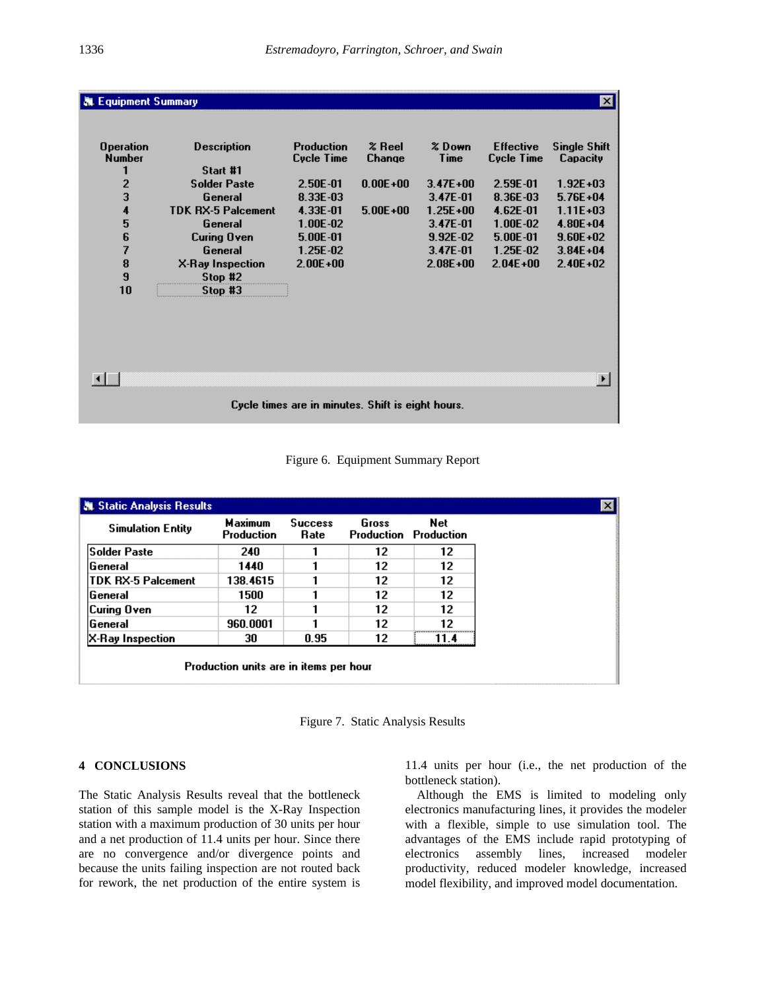| <b>第 Equipment Summary</b>             |                                                                                                                 |                                                                                      |                                                                  |                                                                                          |                                                                                      | ×                                                                                            |
|----------------------------------------|-----------------------------------------------------------------------------------------------------------------|--------------------------------------------------------------------------------------|------------------------------------------------------------------|------------------------------------------------------------------------------------------|--------------------------------------------------------------------------------------|----------------------------------------------------------------------------------------------|
| <b>Operation</b><br><b>Number</b><br>2 | <b>Description</b><br>Start #1<br><b>Solder Paste</b>                                                           | <b>Production</b><br><b>Cycle Time</b><br>$2.50E - 01$                               | $\boldsymbol{\mathsf{\%}}$ Reel<br><b>Change</b><br>$0.00E + 00$ | % Down<br>Time<br>$3.47E + 00$                                                           | <b>Effective</b><br><b>Cycle Time</b><br>$2.59E - 01$                                | <b>Single Shift</b><br>Capacity<br>$1.92E + 03$                                              |
| 3<br>4<br>5<br>6<br>7<br>8<br>9        | General<br><b>TDK RX-5 Palcement</b><br>General<br><b>Curing Oven</b><br>General<br>X-Ray Inspection<br>Stop #2 | 8.33E-03<br>4.33E-01<br>$1.00E - 02$<br>$5.00E - 01$<br>$1.25E - 02$<br>$2.00E + 00$ | $5.00E + 00$                                                     | $3.47E - 01$<br>$1.25E + 00$<br>3.47E-01<br>$9.92E - 02$<br>$3.47E - 01$<br>$2.08E + 00$ | 8.36E-03<br>4.62E-01<br>$1.00E - 02$<br>$5.00E - 01$<br>$1.25E - 02$<br>$2.04E + 00$ | $5.76E + 04$<br>$1.11E + 03$<br>$4.80E + 04$<br>$9.60E + 02$<br>$3.84E + 04$<br>$2.40E + 02$ |
| 10                                     | Stop #3                                                                                                         |                                                                                      |                                                                  |                                                                                          |                                                                                      | $\blacktriangleright$                                                                        |
|                                        |                                                                                                                 | Cycle times are in minutes. Shift is eight hours.                                    |                                                                  |                                                                                          |                                                                                      |                                                                                              |

Figure 6. Equipment Summary Report

| <b>Simulation Entity</b> | Maximum<br>Production | <b>Success</b><br>Rate | Gross | Net<br><b>Production Production</b> |
|--------------------------|-----------------------|------------------------|-------|-------------------------------------|
| <b>Solder Paste</b>      | 240                   |                        | 12    | 12                                  |
| General                  | 1440                  |                        | 12    | 12                                  |
| TDK RX-5 Palcement       | 138.4615              |                        | 12    | 12                                  |
| General                  | 1500                  |                        | 12    | 12                                  |
| Curing Oven              | 12                    |                        | 12    | 12                                  |
| General                  | 960,0001              |                        | 12    | 12                                  |
| X-Ray Inspection         | 30                    | 0.95                   | 12    | 11.4                                |

Figure 7. Static Analysis Results

## **4 CONCLUSIONS**

The Static Analysis Results reveal that the bottleneck station of this sample model is the X-Ray Inspection station with a maximum production of 30 units per hour and a net production of 11.4 units per hour. Since there are no convergence and/or divergence points and because the units failing inspection are not routed back for rework, the net production of the entire system is

11.4 units per hour (i.e., the net production of the bottleneck station).

Although the EMS is limited to modeling only electronics manufacturing lines, it provides the modeler with a flexible, simple to use simulation tool. The advantages of the EMS include rapid prototyping of electronics assembly lines, increased modeler productivity, reduced modeler knowledge, increased model flexibility, and improved model documentation.